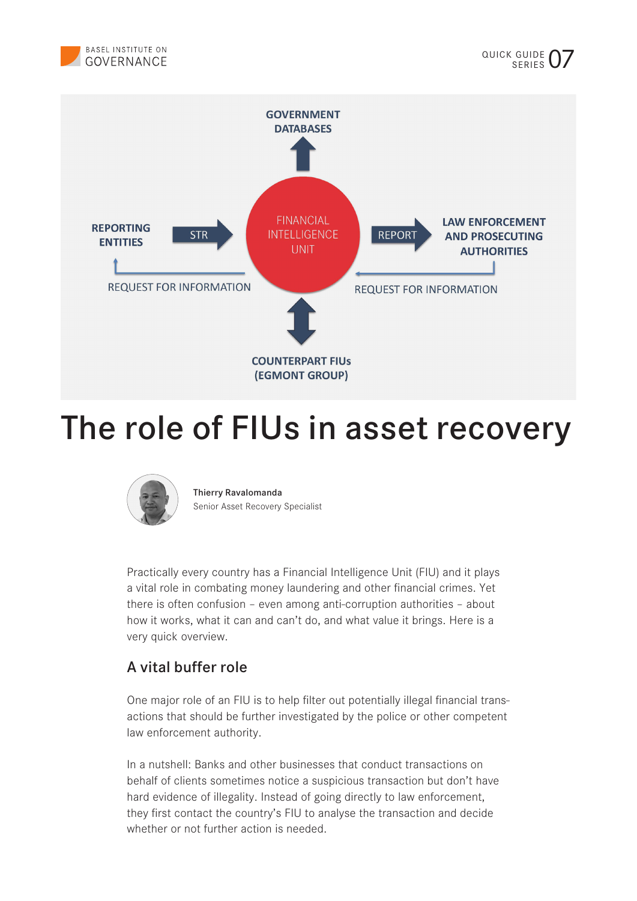



The role of FIUs in asset recovery



Thierry Ravalomanda Senior Asset Recovery Specialist

Practically every country has a Financial Intelligence Unit (FIU) and it plays a vital role in combating money laundering and other financial crimes. Yet there is often confusion – even among anti-corruption authorities – about how it works, what it can and can't do, and what value it brings. Here is a very quick overview.

# A vital buffer role

One major role of an FIU is to help filter out potentially illegal financial transactions that should be further investigated by the police or other competent law enforcement authority.

In a nutshell: Banks and other businesses that conduct transactions on behalf of clients sometimes notice a suspicious transaction but don't have hard evidence of illegality. Instead of going directly to law enforcement, they first contact the country's FIU to analyse the transaction and decide whether or not further action is needed.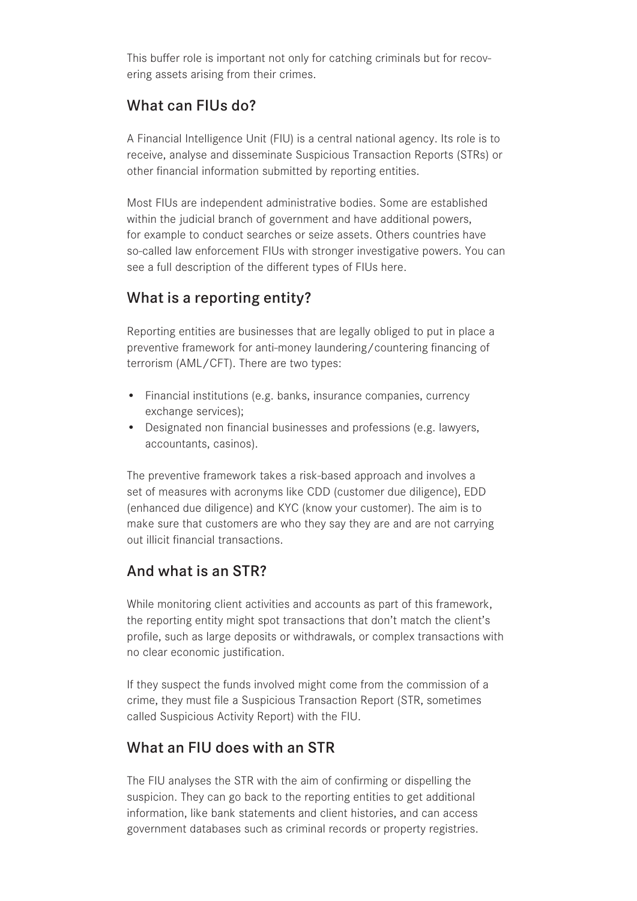This buffer role is important not only for catching criminals but for recovering assets arising from their crimes.

#### What can FILIs do?

A Financial Intelligence Unit (FIU) is a central national agency. Its role is to receive, analyse and disseminate Suspicious Transaction Reports (STRs) or other financial information submitted by reporting entities.

Most FIUs are independent administrative bodies. Some are established within the judicial branch of government and have additional powers, for example to conduct searches or seize assets. Others countries have so-called law enforcement FIUs with stronger investigative powers. You can see a full description of the different types of FIUs here.

### What is a reporting entity?

Reporting entities are businesses that are legally obliged to put in place a preventive framework for anti-money laundering/countering financing of terrorism (AML/CFT). There are two types:

- Financial institutions (e.g. banks, insurance companies, currency exchange services);
- Designated non financial businesses and professions (e.g. lawyers, accountants, casinos).

The preventive framework takes a risk-based approach and involves a set of measures with acronyms like CDD (customer due diligence), EDD (enhanced due diligence) and KYC (know your customer). The aim is to make sure that customers are who they say they are and are not carrying out illicit financial transactions.

### And what is an STR?

While monitoring client activities and accounts as part of this framework, the reporting entity might spot transactions that don't match the client's profile, such as large deposits or withdrawals, or complex transactions with no clear economic justification.

If they suspect the funds involved might come from the commission of a crime, they must file a Suspicious Transaction Report (STR, sometimes called Suspicious Activity Report) with the FIU.

### What an FIU does with an STR

The FIU analyses the STR with the aim of confirming or dispelling the suspicion. They can go back to the reporting entities to get additional information, like bank statements and client histories, and can access government databases such as criminal records or property registries.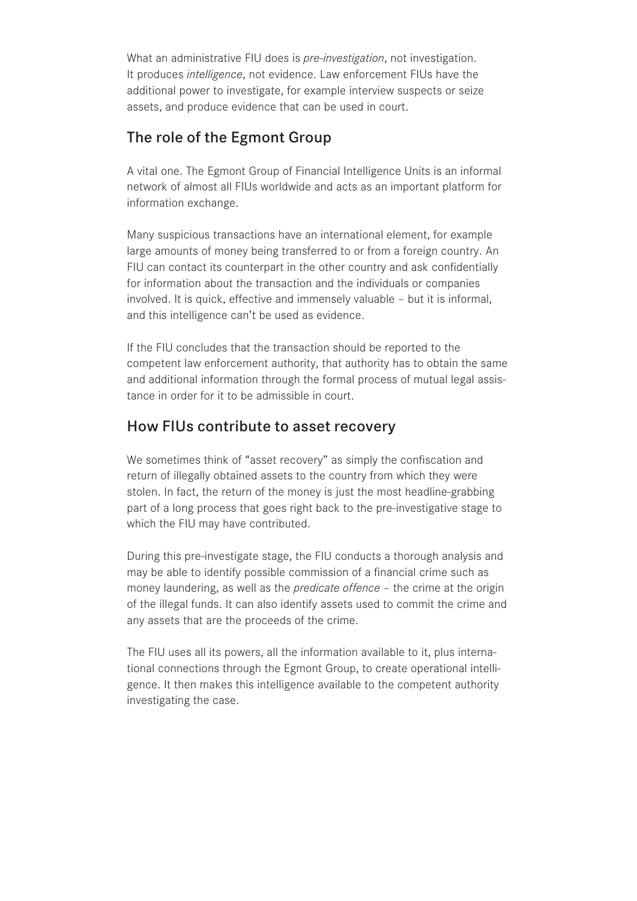What an administrative FIU does is *pre-investigation*, not investigation. It produces *intelligence*, not evidence. Law enforcement FIUs have the additional power to investigate, for example interview suspects or seize assets, and produce evidence that can be used in court.

### The role of the Egmont Group

A vital one. The Egmont Group of Financial Intelligence Units is an informal network of almost all FIUs worldwide and acts as an important platform for information exchange.

Many suspicious transactions have an international element, for example large amounts of money being transferred to or from a foreign country. An FIU can contact its counterpart in the other country and ask confidentially for information about the transaction and the individuals or companies involved. It is quick, effective and immensely valuable – but it is informal, and this intelligence can't be used as evidence.

If the FIU concludes that the transaction should be reported to the competent law enforcement authority, that authority has to obtain the same and additional information through the formal process of mutual legal assistance in order for it to be admissible in court.

### How FIUs contribute to asset recovery

We sometimes think of "asset recovery" as simply the confiscation and return of illegally obtained assets to the country from which they were stolen. In fact, the return of the money is just the most headline-grabbing part of a long process that goes right back to the pre-investigative stage to which the FIU may have contributed.

During this pre-investigate stage, the FIU conducts a thorough analysis and may be able to identify possible commission of a financial crime such as money laundering, as well as the *predicate offence* – the crime at the origin of the illegal funds. It can also identify assets used to commit the crime and any assets that are the proceeds of the crime.

The FIU uses all its powers, all the information available to it, plus international connections through the Egmont Group, to create operational intelligence. It then makes this intelligence available to the competent authority investigating the case.